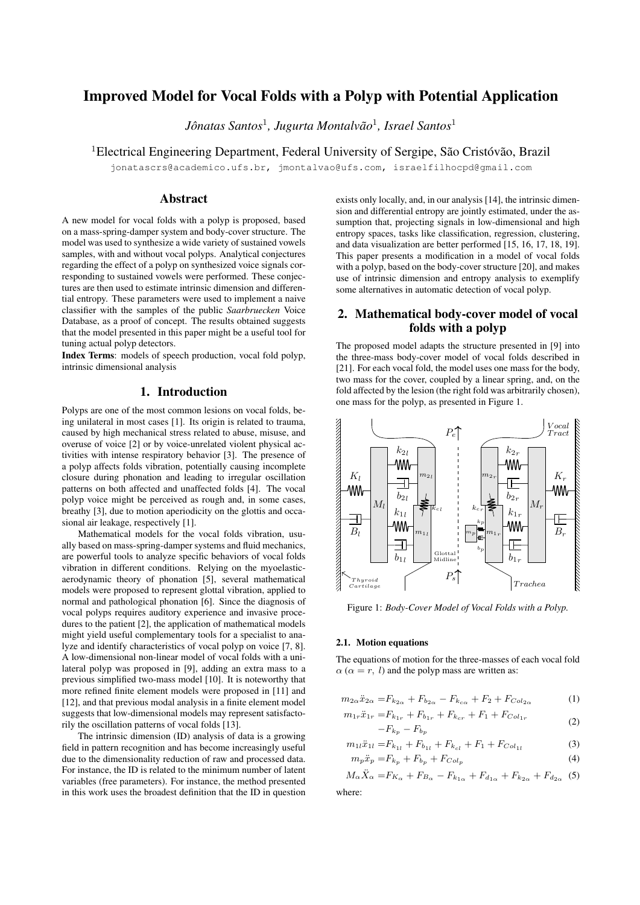# Improved Model for Vocal Folds with a Polyp with Potential Application

Jônatas Santos<sup>1</sup>, Jugurta Montalvão<sup>1</sup>, Israel Santos<sup>1</sup>

<sup>1</sup> Electrical Engineering Department, Federal University of Sergipe, São Cristóvão, Brazil

jonatascrs@academico.ufs.br, jmontalvao@ufs.com, israelfilhocpd@gmail.com

## Abstract

A new model for vocal folds with a polyp is proposed, based on a mass-spring-damper system and body-cover structure. The model was used to synthesize a wide variety of sustained vowels samples, with and without vocal polyps. Analytical conjectures regarding the effect of a polyp on synthesized voice signals corresponding to sustained vowels were performed. These conjectures are then used to estimate intrinsic dimension and differential entropy. These parameters were used to implement a naive classifier with the samples of the public *Saarbruecken* Voice Database, as a proof of concept. The results obtained suggests that the model presented in this paper might be a useful tool for tuning actual polyp detectors.

Index Terms: models of speech production, vocal fold polyp, intrinsic dimensional analysis

## 1. Introduction

Polyps are one of the most common lesions on vocal folds, being unilateral in most cases [1]. Its origin is related to trauma, caused by high mechanical stress related to abuse, misuse, and overuse of voice [2] or by voice-unrelated violent physical activities with intense respiratory behavior [3]. The presence of a polyp affects folds vibration, potentially causing incomplete closure during phonation and leading to irregular oscillation patterns on both affected and unaffected folds [4]. The vocal polyp voice might be perceived as rough and, in some cases, breathy [3], due to motion aperiodicity on the glottis and occasional air leakage, respectively [1].

Mathematical models for the vocal folds vibration, usually based on mass-spring-damper systems and fluid mechanics, are powerful tools to analyze specific behaviors of vocal folds vibration in different conditions. Relying on the myoelasticaerodynamic theory of phonation [5], several mathematical models were proposed to represent glottal vibration, applied to normal and pathological phonation [6]. Since the diagnosis of vocal polyps requires auditory experience and invasive procedures to the patient [2], the application of mathematical models might yield useful complementary tools for a specialist to analyze and identify characteristics of vocal polyp on voice [7, 8]. A low-dimensional non-linear model of vocal folds with a unilateral polyp was proposed in [9], adding an extra mass to a previous simplified two-mass model [10]. It is noteworthy that more refined finite element models were proposed in [11] and [12], and that previous modal analysis in a finite element model suggests that low-dimensional models may represent satisfactorily the oscillation patterns of vocal folds [13].

The intrinsic dimension (ID) analysis of data is a growing field in pattern recognition and has become increasingly useful due to the dimensionality reduction of raw and processed data. For instance, the ID is related to the minimum number of latent variables (free parameters). For instance, the method presented in this work uses the broadest definition that the ID in question exists only locally, and, in our analysis [14], the intrinsic dimension and differential entropy are jointly estimated, under the assumption that, projecting signals in low-dimensional and high entropy spaces, tasks like classification, regression, clustering, and data visualization are better performed [15, 16, 17, 18, 19]. This paper presents a modification in a model of vocal folds with a polyp, based on the body-cover structure [20], and makes use of intrinsic dimension and entropy analysis to exemplify some alternatives in automatic detection of vocal polyp.

## 2. Mathematical body-cover model of vocal folds with a polyp

The proposed model adapts the structure presented in [9] into the three-mass body-cover model of vocal folds described in [21]. For each vocal fold, the model uses one mass for the body, two mass for the cover, coupled by a linear spring, and, on the fold affected by the lesion (the right fold was arbitrarily chosen), one mass for the polyp, as presented in Figure 1.



Figure 1: *Body-Cover Model of Vocal Folds with a Polyp.*

#### 2.1. Motion equations

The equations of motion for the three-masses of each vocal fold  $\alpha$  ( $\alpha = r, l$ ) and the polyp mass are written as:

$$
m_{2\alpha}\ddot{x}_{2\alpha} = F_{k_{2\alpha}} + F_{b_{2\alpha}} - F_{k_{c\alpha}} + F_2 + F_{Col_{2\alpha}}
$$
 (1)

$$
m_{1r}\ddot{x}_{1r} = F_{k_{1r}} + F_{b_{1r}} + F_{k_{cr}} + F_1 + F_{Col_{1r}} \tag{2}
$$

$$
-F_{k_p} - F_{b_p}
$$

$$
m_{11}\ddot{x}_{11} = F_{k_{11}} + F_{b_{11}} + F_{k_{cl}} + F_1 + F_{Col_{11}}
$$
\n
$$
m_{-}\ddot{x}_{-} = F_1 + F_1 + F_{Col_{11}}
$$
\n
$$
(4)
$$

$$
m_p \ddot{x}_p = F_{k_p} + F_{b_p} + F_{Col_p} \tag{4}
$$

 $M_{\alpha}\ddot{X}_{\alpha} = F_{K_{\alpha}} + F_{B_{\alpha}} - F_{k_{1\alpha}} + F_{d_{1\alpha}} + F_{k_{2\alpha}} + F_{d_{2\alpha}}$  (5) where: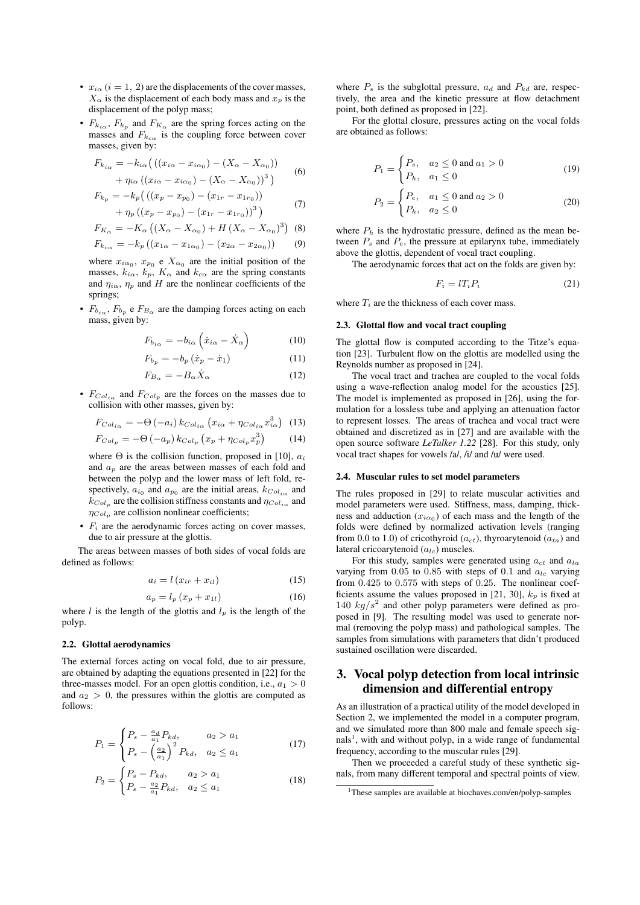- $x_{i\alpha}$  ( $i = 1, 2$ ) are the displacements of the cover masses,  $X_{\alpha}$  is the displacement of each body mass and  $x_p$  is the displacement of the polyp mass;
- $F_{k_{i\alpha}}$ ,  $F_{k_p}$  and  $F_{K_\alpha}$  are the spring forces acting on the masses and  $F_{k_{c\alpha}}$  is the coupling force between cover masses, given by:

$$
F_{k_{i\alpha}} = -k_{i\alpha} \left( \left( (x_{i\alpha} - x_{i\alpha_0}) - (X_{\alpha} - X_{\alpha_0}) \right) + \eta_{i\alpha} \left( (x_{i\alpha} - x_{i\alpha_0}) - (X_{\alpha} - X_{\alpha_0}) \right)^3 \right)
$$
(6)

$$
F_{k_p} = -k_p \left( \left( (x_p - x_{p_0}) - (x_{1r} - x_{1r_0}) \right) + \eta_p \left( (x_p - x_{p_0}) - (x_{1r} - x_{1r_0}) \right)^3 \right)
$$
(7)

$$
F_{K_{\alpha}} = -K_{\alpha} \left( \left( X_{\alpha} - X_{\alpha_0} \right) + H \left( X_{\alpha} - X_{\alpha_0} \right)^3 \right) \tag{8}
$$

$$
F_{k_{c\alpha}} = -k_p ((x_{1\alpha} - x_{1\alpha_0}) - (x_{2\alpha} - x_{2\alpha_0}))
$$
 (9)

where  $x_{i\alpha_0}$ ,  $x_{p_0}$  e  $X_{\alpha_0}$  are the initial position of the masses,  $k_{i\alpha}$ ,  $k_p$ ,  $K_{\alpha}$  and  $k_{c\alpha}$  are the spring constants and  $\eta_{i\alpha}$ ,  $\eta_p$  and H are the nonlinear coefficients of the springs;

•  $F_{b_{i\alpha}}$ ,  $F_{b_p}$  e  $F_{B_{\alpha}}$  are the damping forces acting on each mass, given by:

$$
F_{b_{i\alpha}} = -b_{i\alpha} \left( \dot{x}_{i\alpha} - \dot{X}_{\alpha} \right) \tag{10}
$$

$$
F_{b_p} = -b_p \left( \dot{x}_p - \dot{x}_1 \right) \tag{11}
$$

$$
F_{B_{\alpha}} = -B_{\alpha} \dot{X}_{\alpha} \tag{12}
$$

•  $F_{Col_{i\alpha}}$  and  $F_{Col_p}$  are the forces on the masses due to collision with other masses, given by:

$$
F_{Col_{i\alpha}} = -\Theta(-a_i) k_{Col_{i\alpha}} \left( x_{i\alpha} + \eta_{Col_{i\alpha}} x_{i\alpha}^3 \right) \tag{13}
$$

$$
F_{Col_p} = -\Theta(-a_p) k_{Col_p} \left( x_p + \eta_{Col_p} x_p^3 \right) \tag{14}
$$

where  $\Theta$  is the collision function, proposed in [10],  $a_i$ and  $a_n$  are the areas between masses of each fold and between the polyp and the lower mass of left fold, respectively,  $a_{i_0}$  and  $a_{p_0}$  are the initial areas,  $k_{Col_i}$  and  $k_{Col_p}$  are the collision stiffness constants and  $\eta_{Col_{i\alpha}}$  and  $\eta_{Col_p}$  are collision nonlinear coefficients;

•  $F_i$  are the aerodynamic forces acting on cover masses, due to air pressure at the glottis.

The areas between masses of both sides of vocal folds are defined as follows:

$$
a_i = l\left(x_{ir} + x_{il}\right) \tag{15}
$$

$$
a_p = l_p \left( x_p + x_{1l} \right) \tag{16}
$$

where l is the length of the glottis and  $l_p$  is the length of the polyp.

#### 2.2. Glottal aerodynamics

The external forces acting on vocal fold, due to air pressure, are obtained by adapting the equations presented in [22] for the three-masses model. For an open glottis condition, i.e.,  $a_1 > 0$ and  $a_2 > 0$ , the pressures within the glottis are computed as follows:

$$
P_1 = \begin{cases} P_s - \frac{a_d}{a_1} P_{kd}, & a_2 > a_1 \\ P_s - \left(\frac{a_2}{a_1}\right)^2 P_{kd}, & a_2 \le a_1 \end{cases}
$$
(17)

$$
P_2 = \begin{cases} P_s - P_{kd}, & a_2 > a_1 \\ P_s - \frac{a_2}{a_1} P_{kd}, & a_2 \le a_1 \end{cases}
$$
 (18)

where  $P_s$  is the subglottal pressure,  $a_d$  and  $P_{kd}$  are, respectively, the area and the kinetic pressure at flow detachment point, both defined as proposed in [22].

For the glottal closure, pressures acting on the vocal folds are obtained as follows:

$$
P_1 = \begin{cases} P_s, & a_2 \le 0 \text{ and } a_1 > 0\\ P_h, & a_1 \le 0 \end{cases}
$$
 (19)

$$
P_2 = \begin{cases} P_e, & a_1 \le 0 \text{ and } a_2 > 0\\ P_h, & a_2 \le 0 \end{cases}
$$
 (20)

where  $P_h$  is the hydrostatic pressure, defined as the mean between  $P_s$  and  $P_e$ , the pressure at epilarynx tube, immediately above the glottis, dependent of vocal tract coupling.

The aerodynamic forces that act on the folds are given by:

$$
F_i = lT_i P_i \tag{21}
$$

where  $T_i$  are the thickness of each cover mass.

#### 2.3. Glottal flow and vocal tract coupling

The glottal flow is computed according to the Titze's equation [23]. Turbulent flow on the glottis are modelled using the Reynolds number as proposed in [24].

The vocal tract and trachea are coupled to the vocal folds using a wave-reflection analog model for the acoustics [25]. The model is implemented as proposed in [26], using the formulation for a lossless tube and applying an attenuation factor to represent losses. The areas of trachea and vocal tract were obtained and discretized as in [27] and are available with the open source software *LeTalker 1.22* [28]. For this study, only vocal tract shapes for vowels /a/, /i/ and /u/ were used.

#### 2.4. Muscular rules to set model parameters

The rules proposed in [29] to relate muscular activities and model parameters were used. Stiffness, mass, damping, thickness and adduction  $(x_{i\alpha_0})$  of each mass and the length of the folds were defined by normalized activation levels (ranging from 0.0 to 1.0) of cricothyroid ( $a_{ct}$ ), thyroarytenoid ( $a_{ta}$ ) and lateral cricoarytenoid  $(a_{lc})$  muscles.

For this study, samples were generated using  $a_{ct}$  and  $a_{ta}$ varying from 0.05 to 0.85 with steps of 0.1 and  $a_{lc}$  varying from 0.425 to 0.575 with steps of 0.25. The nonlinear coefficients assume the values proposed in [21, 30],  $k_p$  is fixed at 140  $kg/s^2$  and other polyp parameters were defined as proposed in [9]. The resulting model was used to generate normal (removing the polyp mass) and pathological samples. The samples from simulations with parameters that didn't produced sustained oscillation were discarded.

## 3. Vocal polyp detection from local intrinsic dimension and differential entropy

As an illustration of a practical utility of the model developed in Section 2, we implemented the model in a computer program, and we simulated more than 800 male and female speech signals<sup>1</sup>, with and without polyp, in a wide range of fundamental frequency, according to the muscular rules [29].

Then we proceeded a careful study of these synthetic signals, from many different temporal and spectral points of view.

<sup>&</sup>lt;sup>1</sup>These samples are available at biochaves.com/en/polyp-samples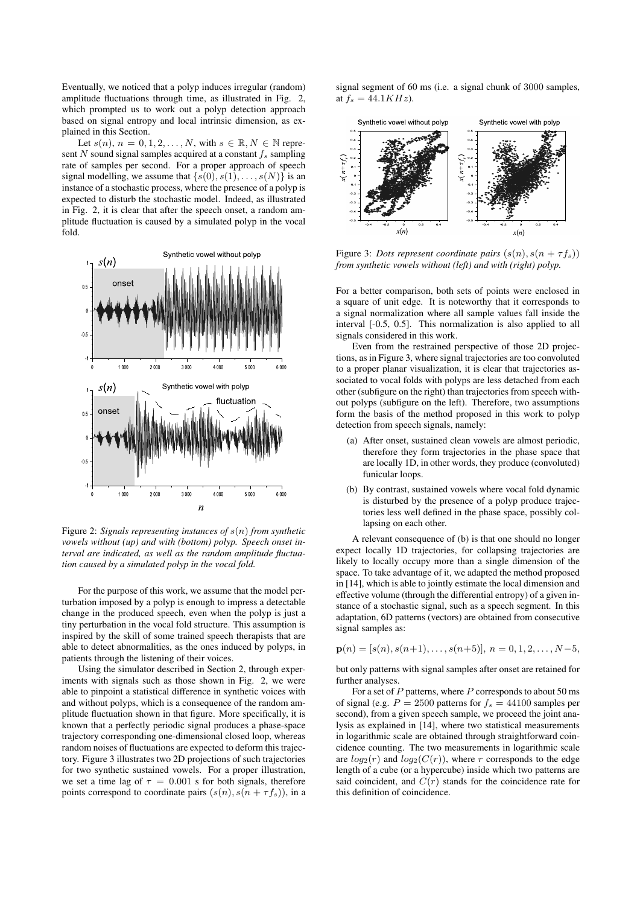Eventually, we noticed that a polyp induces irregular (random) amplitude fluctuations through time, as illustrated in Fig. 2, which prompted us to work out a polyp detection approach based on signal entropy and local intrinsic dimension, as explained in this Section.

Let  $s(n)$ ,  $n = 0, 1, 2, \ldots, N$ , with  $s \in \mathbb{R}, N \in \mathbb{N}$  represent N sound signal samples acquired at a constant  $f_s$  sampling rate of samples per second. For a proper approach of speech signal modelling, we assume that  $\{s(0), s(1), \ldots, s(N)\}\$ is an instance of a stochastic process, where the presence of a polyp is expected to disturb the stochastic model. Indeed, as illustrated in Fig. 2, it is clear that after the speech onset, a random amplitude fluctuation is caused by a simulated polyp in the vocal fold.



Figure 2: *Signals representing instances of* s(n) *from synthetic vowels without (up) and with (bottom) polyp. Speech onset interval are indicated, as well as the random amplitude fluctuation caused by a simulated polyp in the vocal fold.*

For the purpose of this work, we assume that the model perturbation imposed by a polyp is enough to impress a detectable change in the produced speech, even when the polyp is just a tiny perturbation in the vocal fold structure. This assumption is inspired by the skill of some trained speech therapists that are able to detect abnormalities, as the ones induced by polyps, in patients through the listening of their voices.

Using the simulator described in Section 2, through experiments with signals such as those shown in Fig. 2, we were able to pinpoint a statistical difference in synthetic voices with and without polyps, which is a consequence of the random amplitude fluctuation shown in that figure. More specifically, it is known that a perfectly periodic signal produces a phase-space trajectory corresponding one-dimensional closed loop, whereas random noises of fluctuations are expected to deform this trajectory. Figure 3 illustrates two 2D projections of such trajectories for two synthetic sustained vowels. For a proper illustration, we set a time lag of  $\tau = 0.001$  s for both signals, therefore points correspond to coordinate pairs  $(s(n), s(n + \tau f_s))$ , in a

signal segment of 60 ms (i.e. a signal chunk of 3000 samples, at  $f_s = 44.1KHz$ .



Figure 3: *Dots represent coordinate pairs*  $(s(n), s(n + \tau f_s))$ *from synthetic vowels without (left) and with (right) polyp.*

For a better comparison, both sets of points were enclosed in a square of unit edge. It is noteworthy that it corresponds to a signal normalization where all sample values fall inside the interval [-0.5, 0.5]. This normalization is also applied to all signals considered in this work.

Even from the restrained perspective of those 2D projections, as in Figure 3, where signal trajectories are too convoluted to a proper planar visualization, it is clear that trajectories associated to vocal folds with polyps are less detached from each other (subfigure on the right) than trajectories from speech without polyps (subfigure on the left). Therefore, two assumptions form the basis of the method proposed in this work to polyp detection from speech signals, namely:

- (a) After onset, sustained clean vowels are almost periodic, therefore they form trajectories in the phase space that are locally 1D, in other words, they produce (convoluted) funicular loops.
- (b) By contrast, sustained vowels where vocal fold dynamic is disturbed by the presence of a polyp produce trajectories less well defined in the phase space, possibly collapsing on each other.

A relevant consequence of (b) is that one should no longer expect locally 1D trajectories, for collapsing trajectories are likely to locally occupy more than a single dimension of the space. To take advantage of it, we adapted the method proposed in [14], which is able to jointly estimate the local dimension and effective volume (through the differential entropy) of a given instance of a stochastic signal, such as a speech segment. In this adaptation, 6D patterns (vectors) are obtained from consecutive signal samples as:

$$
\mathbf{p}(n) = [s(n), s(n+1), \dots, s(n+5)], n = 0, 1, 2, \dots, N-5,
$$

but only patterns with signal samples after onset are retained for further analyses.

For a set of  $P$  patterns, where  $P$  corresponds to about 50 ms of signal (e.g.  $P = 2500$  patterns for  $f_s = 44100$  samples per second), from a given speech sample, we proceed the joint analysis as explained in [14], where two statistical measurements in logarithmic scale are obtained through straightforward coincidence counting. The two measurements in logarithmic scale are  $log_2(r)$  and  $log_2(C(r))$ , where r corresponds to the edge length of a cube (or a hypercube) inside which two patterns are said coincident, and  $C(r)$  stands for the coincidence rate for this definition of coincidence.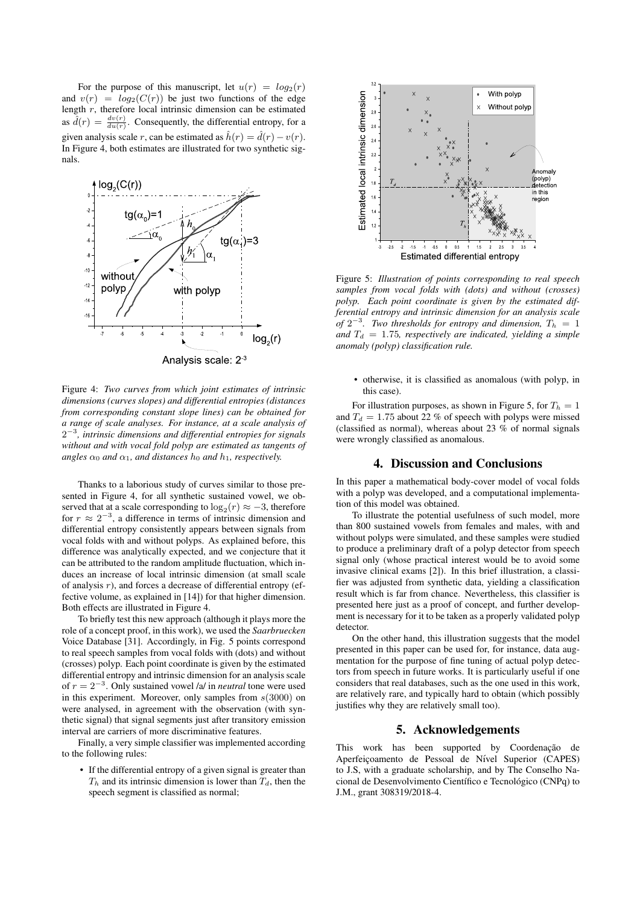For the purpose of this manuscript, let  $u(r) = log_2(r)$ and  $v(r) = log_2(C(r))$  be just two functions of the edge length  $r$ , therefore local intrinsic dimension can be estimated as  $\hat{d}(r) = \frac{dv(r)}{du(r)}$ . Consequently, the differential entropy, for a given analysis scale r, can be estimated as  $\hat{h}(r) = \hat{d}(r) - v(r)$ . In Figure 4, both estimates are illustrated for two synthetic signals.



Figure 4: *Two curves from which joint estimates of intrinsic dimensions (curves slopes) and differential entropies (distances from corresponding constant slope lines) can be obtained for a range of scale analyses. For instance, at a scale analysis of* 2 −3 *, intrinsic dimensions and differential entropies for signals without and with vocal fold polyp are estimated as tangents of angles*  $\alpha_0$  *and*  $\alpha_1$ *, and distances*  $h_0$  *and*  $h_1$ *, respectively.* 

Thanks to a laborious study of curves similar to those presented in Figure 4, for all synthetic sustained vowel, we observed that at a scale corresponding to  $\log_2(r) \approx -3$ , therefore for  $r \approx 2^{-3}$ , a difference in terms of intrinsic dimension and differential entropy consistently appears between signals from vocal folds with and without polyps. As explained before, this difference was analytically expected, and we conjecture that it can be attributed to the random amplitude fluctuation, which induces an increase of local intrinsic dimension (at small scale of analysis  $r$ ), and forces a decrease of differential entropy (effective volume, as explained in [14]) for that higher dimension. Both effects are illustrated in Figure 4.

To briefly test this new approach (although it plays more the role of a concept proof, in this work), we used the *Saarbruecken* Voice Database [31]. Accordingly, in Fig. 5 points correspond to real speech samples from vocal folds with (dots) and without (crosses) polyp. Each point coordinate is given by the estimated differential entropy and intrinsic dimension for an analysis scale of  $r = 2^{-3}$ . Only sustained vowel /a/ in *neutral* tone were used in this experiment. Moreover, only samples from  $s(3000)$  on were analysed, in agreement with the observation (with synthetic signal) that signal segments just after transitory emission interval are carriers of more discriminative features.

Finally, a very simple classifier was implemented according to the following rules:

• If the differential entropy of a given signal is greater than  $T_h$  and its intrinsic dimension is lower than  $T_d$ , then the speech segment is classified as normal;



Figure 5: *Illustration of points corresponding to real speech samples from vocal folds with (dots) and without (crosses) polyp. Each point coordinate is given by the estimated differential entropy and intrinsic dimension for an analysis scale* of  $2^{-3}$ . Two thresholds for entropy and dimension,  $T_h = 1$ and  $T_d = 1.75$ , respectively are indicated, yielding a simple *anomaly (polyp) classification rule.*

• otherwise, it is classified as anomalous (with polyp, in this case).

For illustration purposes, as shown in Figure 5, for  $T_h = 1$ and  $T_d = 1.75$  about 22 % of speech with polyps were missed (classified as normal), whereas about 23 % of normal signals were wrongly classified as anomalous.

## 4. Discussion and Conclusions

In this paper a mathematical body-cover model of vocal folds with a polyp was developed, and a computational implementation of this model was obtained.

To illustrate the potential usefulness of such model, more than 800 sustained vowels from females and males, with and without polyps were simulated, and these samples were studied to produce a preliminary draft of a polyp detector from speech signal only (whose practical interest would be to avoid some invasive clinical exams [2]). In this brief illustration, a classifier was adjusted from synthetic data, yielding a classification result which is far from chance. Nevertheless, this classifier is presented here just as a proof of concept, and further development is necessary for it to be taken as a properly validated polyp detector.

On the other hand, this illustration suggests that the model presented in this paper can be used for, for instance, data augmentation for the purpose of fine tuning of actual polyp detectors from speech in future works. It is particularly useful if one considers that real databases, such as the one used in this work, are relatively rare, and typically hard to obtain (which possibly justifies why they are relatively small too).

## 5. Acknowledgements

This work has been supported by Coordenação de Aperfeiçoamento de Pessoal de Nível Superior (CAPES) to J.S, with a graduate scholarship, and by The Conselho Nacional de Desenvolvimento Científico e Tecnológico (CNPq) to J.M., grant 308319/2018-4.